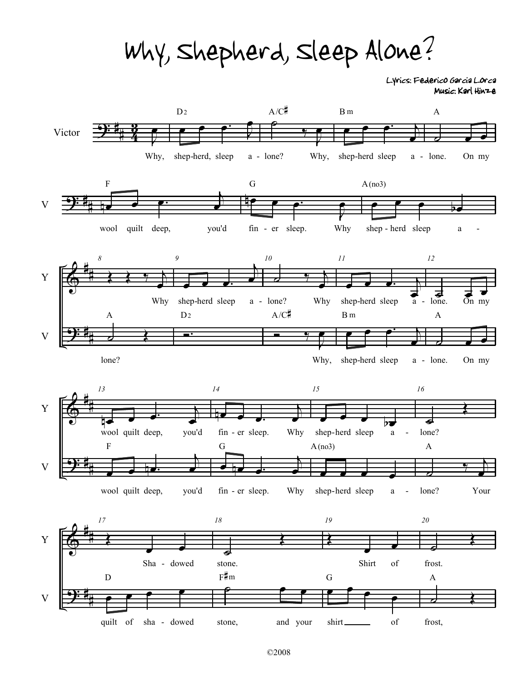Why, Shepherd, Sleep Alone?

Lyrics: Federico Garcia Lorca Music: Karl Hinze

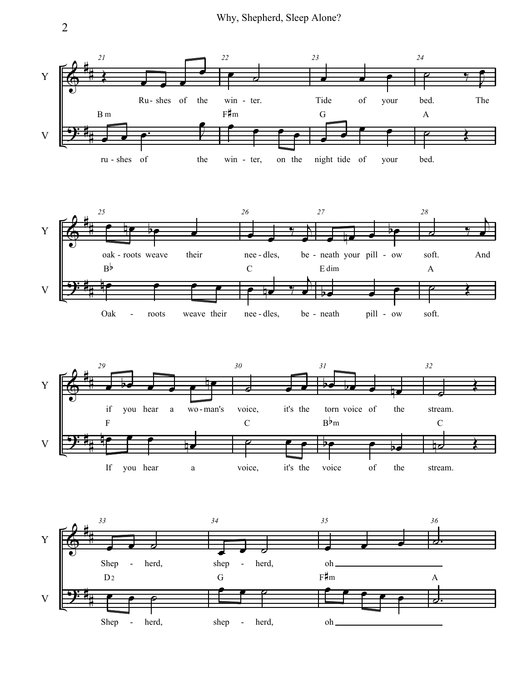Why, Shepherd, Sleep Alone?



2